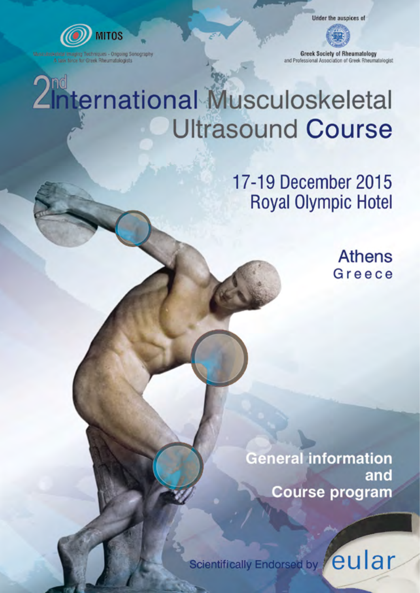

aging Techniques - Ongoing Sonography A task force for Greek Rheumatologists

Under the auspices of

**Greek Society of Rheumatology** and Professional Association of Greek Rheumatologist

# 2<sup>nd</sup><br>2<sup>nd</sup> Ernational Musculoskeletal **Ultrasound Course**

17-19 December 2015 **Royal Olympic Hotel** 

> **Athens** Greece

**General information** and **Course program** 

eular Scientifically Endorsed by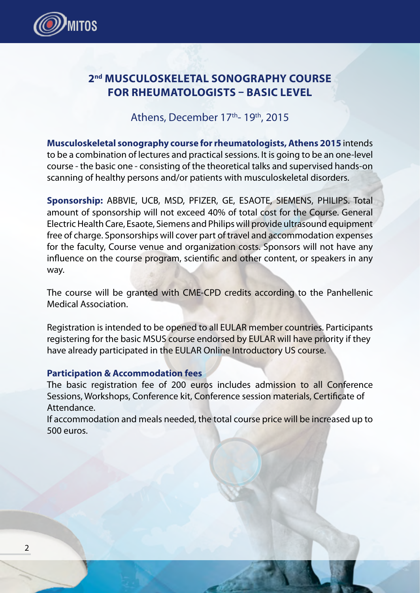

### **2nd MUSCULOSKELETAL SONOGRAPHY COURSE FOR RHEUMATOLOGISTS – BASIC LEVEL**

### Athens, December 17<sup>th</sup>- 19<sup>th</sup>, 2015

**Musculoskeletal sonography course for rheumatologists, Athens 2015** intends to be a combination of lectures and practical sessions. It is going to be an one-level course - the basic one - consisting of the theoretical talks and supervised hands-on scanning of healthy persons and/or patients with musculoskeletal disorders.

**Sponsorship:** ABBVIE, UCB, MSD, PFIZER, GE, ESAOTE, SIEMENS, PHILIPS. Total amount of sponsorship will not exceed 40% of total cost for the Course. General Electric Health Care, Esaote, Siemens and Philips will provide ultrasound equipment free of charge. Sponsorships will cover part of travel and accommodation expenses for the faculty, Course venue and organization costs. Sponsors will not have any influence on the course program, scientific and other content, or speakers in any way.

The course will be granted with CME-CPD credits according to the Panhellenic Medical Association.

Registration is intended to be opened to all EULAR member countries. Participants registering for the basic MSUS course endorsed by EULAR will have priority if they have already participated in the EULAR Online Introductory US course.

#### **Participation & Accommodation fees**

The basic registration fee of 200 euros includes admission to all Conference Sessions, Workshops, Conference kit, Conference session materials, Certificate of Attendance.

If accommodation and meals needed, the total course price will be increased up to 500 euros.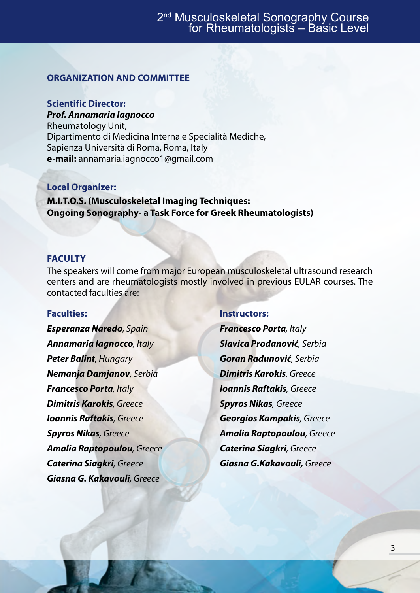#### **ORGANIZATION AND COMMITTEE**

### **Scientific Director:**

*Prof. Annamaria Iagnocco* 

Rheumatology Unit, Dipartimento di Medicina Interna e Specialità Mediche, Sapienza Università di Roma, Roma, Italy **e-mail:** annamaria.iagnocco1@gmail.com

### **Local Organizer:**

**M.I.T.O.S. (Musculoskeletal Imaging Techniques: Ongoing Sonography- a Task Force for Greek Rheumatologists)** 

#### **FACULTY**

The speakers will come from major European musculoskeletal ultrasound research centers and are rheumatologists mostly involved in previous EULAR courses. The contacted faculties are:

#### **Faculties:**

*Esperanza Naredo, Spain Annamaria Iagnocco, Italy Peter Balint, Hungary Nemanja Damjanov, Serbia Francesco Porta, Italy Dimitris Karokis, Greece Ioannis Raftakis, Greece Spyros Nikas, Greece Amalia Raptopoulou, Greece Caterina Siagkri, Greece Giasna G. Kakavouli, Greece* 

#### **Instructors:**

*Francesco Porta, Italy Slavica Prodanović, Serbia Goran Radunović, Serbia Dimitris Karokis, Greece Ioannis Raftakis, Greece Spyros Nikas, Greece Georgios Kampakis, Greece Amalia Raptopoulou, Greece Caterina Siagkri, Greece Giasna G.Kakavouli, Greece*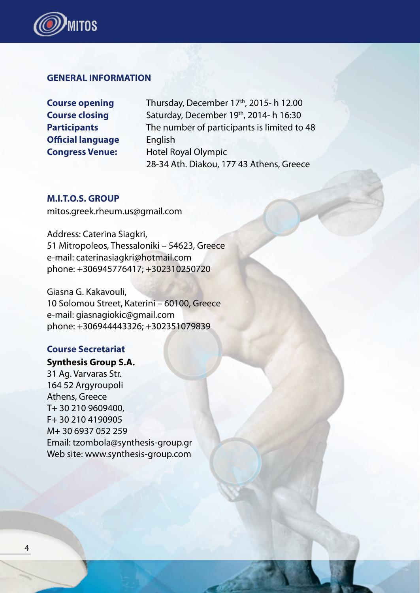

#### **GENERAL INFORMATION**

**Official language** English

**Course opening** Thursday, December 17<sup>th</sup>, 2015- h 12.00 **Course closing Saturday, December 19th, 2014- h 16:30 Participants The number of participants is limited to 48 Congress Venue:** Hotel Royal Olympic 28-34 Ath. Diakou, 177 43 Athens, Greece

#### **M.I.T.O.S. GROUP**

mitos.greek.rheum.us@gmail.com

Address: Caterina Siagkri, 51 Mitropoleos, Thessaloniki – 54623, Greece e-mail: caterinasiagkri@hotmail.com phone: +306945776417; +302310250720

Giasna G. Kakavouli, 10 Solomou Street, Katerini – 60100, Greece e-mail: giasnagiokic@gmail.com phone: +306944443326; +302351079839

#### **Course Secretariat**

**Synthesis Group S.A.** 31 Ag. Varvaras Str. 164 52 Argyroupoli Athens, Greece [T+ 30 210 9609400,](tel:%2B 30 210 9609400) [F+ 30 210 4190905](tel:%2B 30 210 4190905) M+ 30 6937 052 259 Email: [tzombola@synthesis-group.gr](mailto:tzombola@synthesis-group.gr) Web site: [www.synthesis-group.com](http://www.synthesis-group.com/)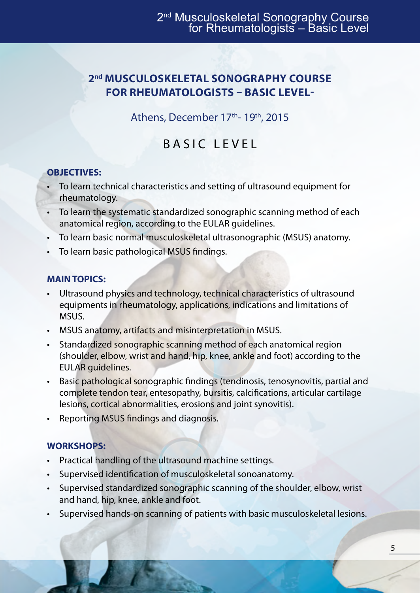### **2nd MUSCULOSKELETAL SONOGRAPHY COURSE FOR RHEUMATOLOGISTS – BASIC LEVEL-**

Athens, December 17th- 19th, 2015

### BASIC LEVEL

### **OBJECTIVES:**

- To learn technical characteristics and setting of ultrasound equipment for rheumatology.
- • To learn the systematic standardized sonographic scanning method of each anatomical region, according to the EULAR guidelines.
- To learn basic normal musculoskeletal ultrasonographic (MSUS) anatomy.
- To learn basic pathological MSUS findings.

### **MAIN TOPICS:**

- Ultrasound physics and technology, technical characteristics of ultrasound equipments in rheumatology, applications, indications and limitations of MSUS.
- MSUS anatomy, artifacts and misinterpretation in MSUS.
- Standardized sonographic scanning method of each anatomical region (shoulder, elbow, wrist and hand, hip, knee, ankle and foot) according to the EULAR guidelines.
- • Basic pathological sonographic findings (tendinosis, tenosynovitis, partial and complete tendon tear, entesopathy, bursitis, calcifications, articular cartilage lesions, cortical abnormalities, erosions and joint synovitis).
- • Reporting MSUS findings and diagnosis.

### **WORKSHOPS:**

- Practical handling of the ultrasound machine settings.
- Supervised identification of musculoskeletal sonoanatomy.
- • Supervised standardized sonographic scanning of the shoulder, elbow, wrist and hand, hip, knee, ankle and foot.
- • Supervised hands-on scanning of patients with basic musculoskeletal lesions.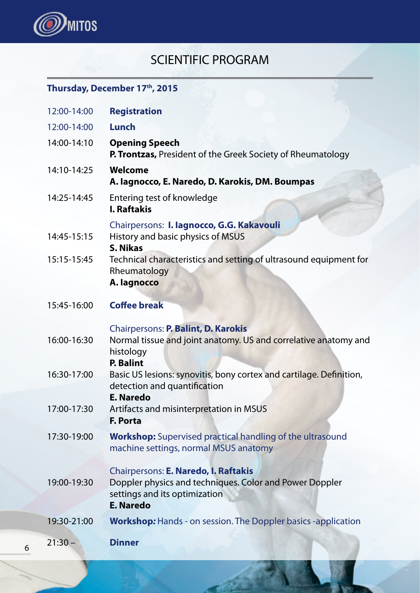

### SCIENTIFIC PROGRAM

### **Thursday, December 17th, 2015**

|   | 12:00-14:00 | <b>Registration</b>                                                                                                                                  |
|---|-------------|------------------------------------------------------------------------------------------------------------------------------------------------------|
|   | 12:00-14:00 | Lunch                                                                                                                                                |
|   | 14:00-14:10 | <b>Opening Speech</b><br>P. Trontzas, President of the Greek Society of Rheumatology                                                                 |
|   | 14:10-14:25 | Welcome<br>A. lagnocco, E. Naredo, D. Karokis, DM. Boumpas                                                                                           |
|   | 14:25-14:45 | Entering test of knowledge<br><b>I. Raftakis</b>                                                                                                     |
|   | 14:45-15:15 | Chairpersons: I. lagnocco, G.G. Kakavouli<br>History and basic physics of MSUS<br>S. Nikas                                                           |
|   | 15:15-15:45 | Technical characteristics and setting of ultrasound equipment for<br>Rheumatology<br>A. lagnocco                                                     |
|   | 15:45-16:00 | <b>Coffee break</b>                                                                                                                                  |
|   | 16:00-16:30 | Chairpersons: P. Balint, D. Karokis<br>Normal tissue and joint anatomy. US and correlative anatomy and<br>histology<br>P. Balint                     |
|   | 16:30-17:00 | Basic US lesions: synovitis, bony cortex and cartilage. Definition,<br>detection and quantification                                                  |
|   | 17:00-17:30 | <b>E. Naredo</b><br>Artifacts and misinterpretation in MSUS<br>F. Porta                                                                              |
|   | 17:30-19:00 | <b>Workshop:</b> Supervised practical handling of the ultrasound<br>machine settings, normal MSUS anatomy                                            |
|   | 19:00-19:30 | Chairpersons: E. Naredo, I. Raftakis<br>Doppler physics and techniques. Color and Power Doppler<br>settings and its optimization<br><b>E. Naredo</b> |
|   | 19:30-21:00 | <b>Workshop:</b> Hands - on session. The Doppler basics -application                                                                                 |
| 6 | $21:30 -$   | <b>Dinner</b>                                                                                                                                        |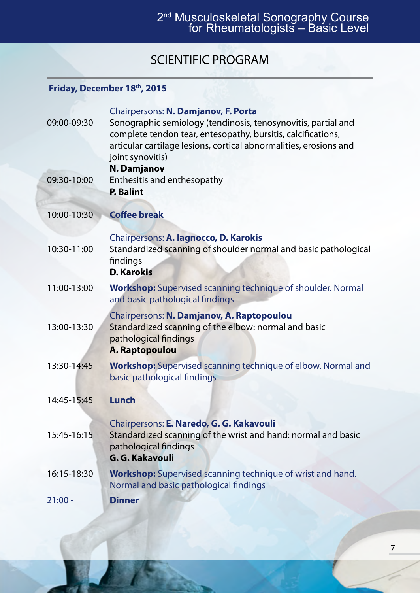## 2nd Musculoskeletal Sonography Course for Rheumatologists – Basic Level

### SCIENTIFIC PROGRAM

### **Friday, December 18th, 2015**

| 09:00-09:30 | Chairpersons: N. Damjanov, F. Porta<br>Sonographic semiology (tendinosis, tenosynovitis, partial and<br>complete tendon tear, entesopathy, bursitis, calcifications,<br>articular cartilage lesions, cortical abnormalities, erosions and<br>joint synovitis) |
|-------------|---------------------------------------------------------------------------------------------------------------------------------------------------------------------------------------------------------------------------------------------------------------|
| 09:30-10:00 | N. Damjanov<br>Enthesitis and enthesopathy<br><b>P.</b> Balint                                                                                                                                                                                                |
| 10:00-10:30 | <b>Coffee break</b>                                                                                                                                                                                                                                           |
| 10:30-11:00 | Chairpersons: A. lagnocco, D. Karokis<br>Standardized scanning of shoulder normal and basic pathological<br>findings<br><b>D. Karokis</b>                                                                                                                     |
| 11:00-13:00 | <b>Workshop:</b> Supervised scanning technique of shoulder. Normal<br>and basic pathological findings                                                                                                                                                         |
| 13:00-13:30 | Chairpersons: N. Damjanov, A. Raptopoulou<br>Standardized scanning of the elbow: normal and basic<br>pathological findings<br>A. Raptopoulou                                                                                                                  |
| 13:30-14:45 | <b>Workshop:</b> Supervised scanning technique of elbow. Normal and<br>basic pathological findings                                                                                                                                                            |
| 14:45-15:45 | Lunch                                                                                                                                                                                                                                                         |
| 15:45-16:15 | Chairpersons: E. Naredo, G. G. Kakavouli<br>Standardized scanning of the wrist and hand: normal and basic<br>pathological findings<br>G. G. Kakavouli                                                                                                         |
| 16:15-18:30 | <b>Workshop:</b> Supervised scanning technique of wrist and hand.<br>Normal and basic pathological findings                                                                                                                                                   |
| $21:00 -$   | Dinner                                                                                                                                                                                                                                                        |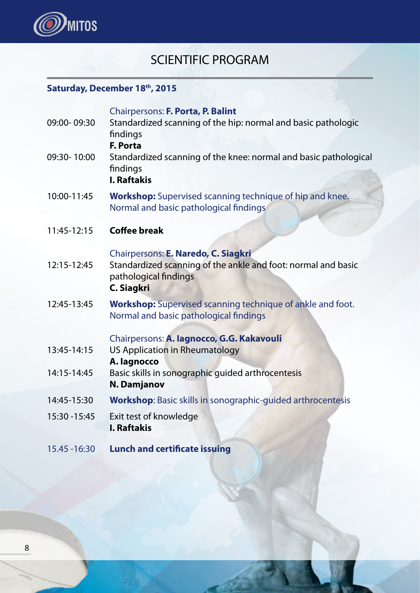

### SCIENTIFIC PROGRAM

### Saturday, December 18<sup>th</sup>, 2015

|               | Chairpersons: F. Porta, P. Balint                                                                           |
|---------------|-------------------------------------------------------------------------------------------------------------|
| 09:00-09:30   | Standardized scanning of the hip: normal and basic pathologic<br>findings                                   |
|               | F. Porta                                                                                                    |
| 09:30-10:00   | Standardized scanning of the knee: normal and basic pathological<br>findings<br><b>I. Raftakis</b>          |
| 10:00-11:45   | <b>Workshop:</b> Supervised scanning technique of hip and knee.<br>Normal and basic pathological findings   |
| 11:45-12:15   | <b>Coffee break</b>                                                                                         |
|               | Chairpersons: E. Naredo, C. Siagkri                                                                         |
| 12:15-12:45   | Standardized scanning of the ankle and foot: normal and basic<br>pathological findings<br><b>C. Siagkri</b> |
| 12:45-13:45   | <b>Workshop:</b> Supervised scanning technique of ankle and foot.<br>Normal and basic pathological findings |
|               | Chairpersons: A. lagnocco, G.G. Kakavouli                                                                   |
| 13:45-14:15   | US Application in Rheumatology<br>A. lagnocco                                                               |
| 14:15-14:45   | Basic skills in sonographic guided arthrocentesis                                                           |
|               | <b>N. Damjanov</b>                                                                                          |
| 14:45-15:30   | <b>Workshop:</b> Basic skills in sonographic-quided arthrocentesis                                          |
| 15:30 - 15:45 | Exit test of knowledge<br><b>I. Raftakis</b>                                                                |
|               |                                                                                                             |
| 15.45 - 16:30 | <b>Lunch and certificate issuing</b>                                                                        |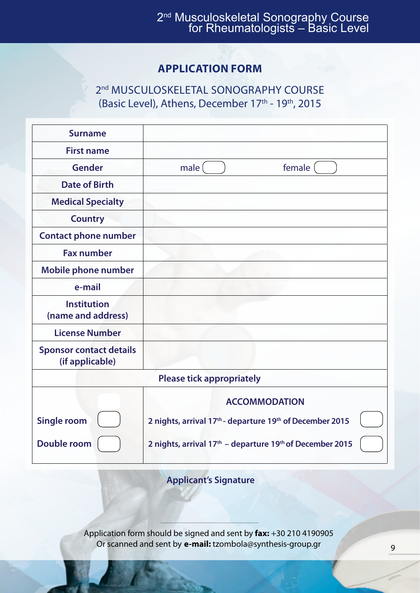### **APPLICATION FORM**

2<sup>nd</sup> MUSCULOSKELETAL SONOGRAPHY COURSE (Basic Level), Athens, December 17<sup>th</sup> - 19<sup>th</sup>, 2015

| <b>Surname</b>                                    |                                                                                  |  |  |  |
|---------------------------------------------------|----------------------------------------------------------------------------------|--|--|--|
| <b>First name</b>                                 |                                                                                  |  |  |  |
| <b>Gender</b>                                     | female<br>male                                                                   |  |  |  |
| Date of Birth                                     |                                                                                  |  |  |  |
| <b>Medical Specialty</b>                          |                                                                                  |  |  |  |
| <b>Country</b>                                    |                                                                                  |  |  |  |
| <b>Contact phone number</b>                       |                                                                                  |  |  |  |
| <b>Fax number</b>                                 |                                                                                  |  |  |  |
| Mobile phone number                               |                                                                                  |  |  |  |
| e-mail                                            |                                                                                  |  |  |  |
| <b>Institution</b><br>(name and address)          |                                                                                  |  |  |  |
| <b>License Number</b>                             |                                                                                  |  |  |  |
| <b>Sponsor contact details</b><br>(if applicable) |                                                                                  |  |  |  |
| <b>Please tick appropriately</b>                  |                                                                                  |  |  |  |
|                                                   | <b>ACCOMMODATION</b>                                                             |  |  |  |
| <b>Single room</b>                                | 2 nights, arrival 17 <sup>th</sup> - departure 19 <sup>th</sup> of December 2015 |  |  |  |
| Double room                                       | 2 nights, arrival 17 <sup>th</sup> - departure 19 <sup>th</sup> of December 2015 |  |  |  |

**Applicant's Signature**

........................................................................................................................................ Application form should be signed and sent by **fax:** +30 210 4190905 Or scanned and sent by **e-mail:** tzombola@synthesis-group.gr